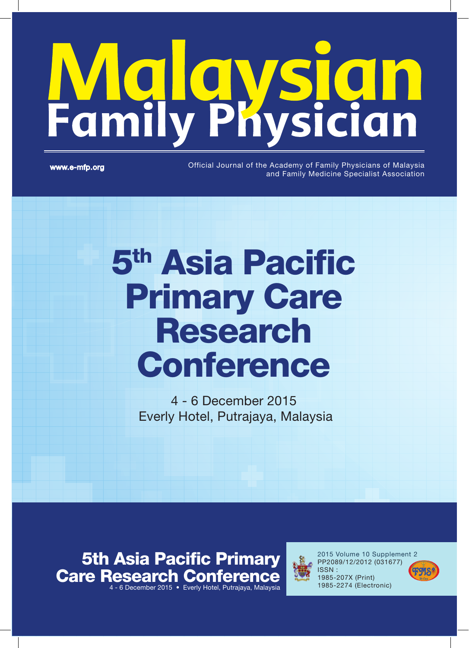# **Family Physician**

www.e-mfp.org

Official Journal of the Academy of Family Physicians of Malaysia and Family Medicine Specialist Association

# 5th Asia Pacific **Primary Care** Research **Conference**

4 - 6 December 2015 Everly Hotel, Putrajaya, Malaysia

5th Asia Pacific Primary Care Research Conference 4 - 6 December 2015 • Everly Hotel, Putrajaya, Malaysia



2015 Volume 10 Supplement 2 PP2089/12/2012 (031677) ISSN : 1985-207X (Print) 1985-2274 (Electronic)

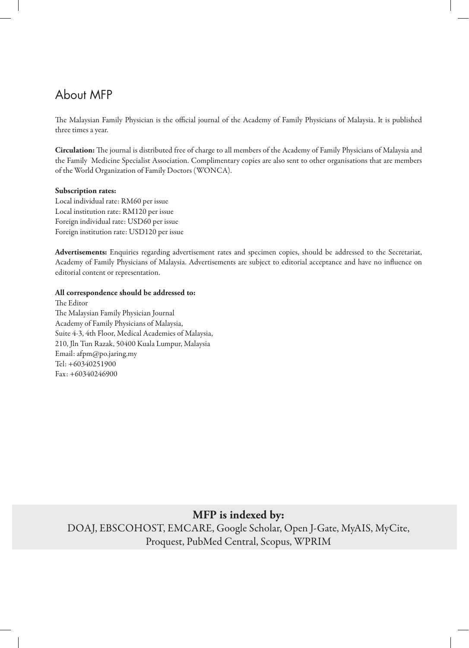# About MFP

The Malaysian Family Physician is the official journal of the Academy of Family Physicians of Malaysia. It is published three times a year.

**Circulation:** The journal is distributed free of charge to all members of the Academy of Family Physicians of Malaysia and the Family Medicine Specialist Association. Complimentary copies are also sent to other organisations that are members of the World Organization of Family Doctors (WONCA).

#### **Subscription rates:**

Local individual rate: RM60 per issue Local institution rate: RM120 per issue Foreign individual rate: USD60 per issue Foreign institution rate: USD120 per issue

**Advertisements:** Enquiries regarding advertisement rates and specimen copies, should be addressed to the Secretariat, Academy of Family Physicians of Malaysia. Advertisements are subject to editorial acceptance and have no influence on editorial content or representation.

#### **All correspondence should be addressed to:**

The Editor The Malaysian Family Physician Journal Academy of Family Physicians of Malaysia, Suite 4-3, 4th Floor, Medical Academies of Malaysia, 210, Jln Tun Razak, 50400 Kuala Lumpur, Malaysia Email: afpm@po.jaring.my Tel: +60340251900 Fax: +60340246900

**MFP is indexed by:**

DOAJ, EBSCOHOST, EMCARE, Google Scholar, Open J-Gate, MyAIS, MyCite, Proquest, PubMed Central, Scopus, WPRIM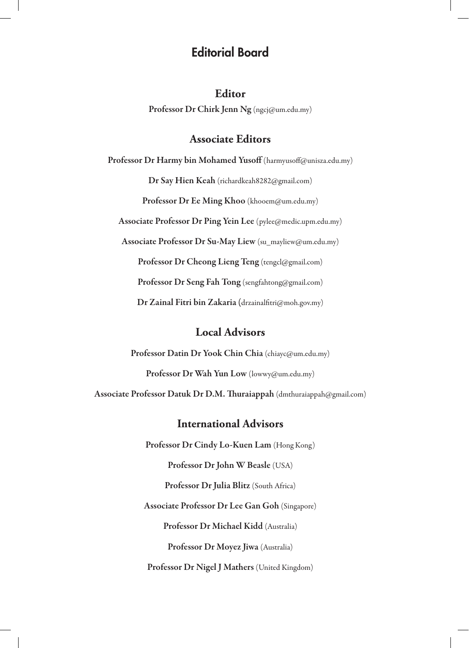# Editorial Board

### **Editor**

Professor Dr Chirk Jenn Ng (ngcj@um.edu.my)

# **Associate Editors**

Professor Dr Harmy bin Mohamed Yusoff (harmyusoff@unisza.edu.my)

Dr Say Hien Keah (richardkeah8282@gmail.com)

Professor Dr Ee Ming Khoo (khooem@um.edu.my)

Associate Professor Dr Ping Yein Lee (pylee@medic.upm.edu.my)

Associate Professor Dr Su-May Liew (su\_mayliew@um.edu.my)

Professor Dr Cheong Lieng Teng (tengcl@gmail.com)

Professor Dr Seng Fah Tong (sengfahtong@gmail.com)

Dr Zainal Fitri bin Zakaria (drzainalfitri@moh.gov.my)

# **Local Advisors**

Professor Datin Dr Yook Chin Chia (chiayc@um.edu.my)

Professor Dr Wah Yun Low (lowwy@um.edu.my)

Associate Professor Datuk Dr D.M. Thuraiappah (dmthuraiappah@gmail.com)

# **International Advisors**

Professor Dr Cindy Lo-Kuen Lam (Hong Kong) Professor Dr John W Beasle (USA) Professor Dr Julia Blitz (South Africa) Associate Professor Dr Lee Gan Goh (Singapore) Professor Dr Michael Kidd (Australia) Professor Dr Moyez Jiwa (Australia) Professor Dr Nigel J Mathers (United Kingdom)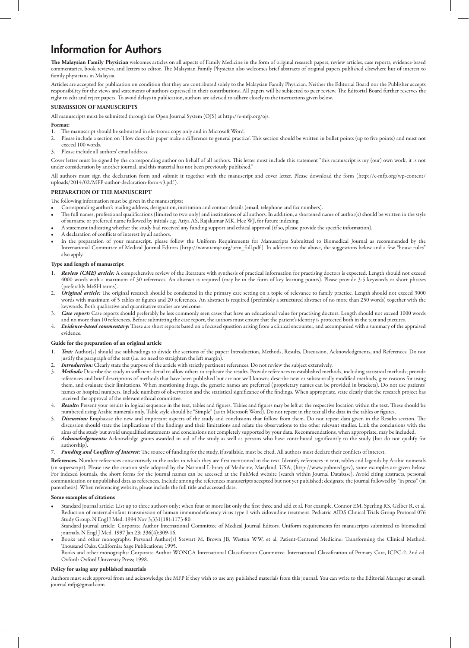# Information for Authors

**The Malaysian Family Physician** welcomes articles on all aspects of Family Medicine in the form of original research papers, review articles, case reports, evidence-based commentaries, book reviews, and letters to editor. The Malaysian Family Physician also welcomes brief abstracts of original papers published elsewhere but of interest to family physicians in Malaysia.

Articles are accepted for publication on condition that they are contributed solely to the Malaysian Family Physician. Neither the Editorial Board nor the Publisher accepts responsibility for the views and statements of authors expressed in their contributions. All papers will be subjected to peer review. The Editorial Board further reserves the right to edit and reject papers. To avoid delays in publication, authors are advised to adhere closely to the instructions given below.

#### **SUBMISSION OF MANUSCRIPTS**

All manuscripts must be submitted through the Open Journal System (OJS) at http://e-mfp.org/ojs.

#### **Format:**

- The manuscript should be submitted in electronic copy only and in Microsoft Word.
- 2. Please include a section on 'How does this paper make a difference to general practice'. This section should be written in bullet points (up to five points) and must not exceed 100 words.
- 3. Please include all authors' email address.

Cover letter must be signed by the corresponding author on behalf of all authors. This letter must include this statement "this manuscript is my (our) own work, it is not under consideration by another journal, and this material has not been previously published."

All authors must sign the declaration form and submit it together with the manuscript and cover letter. Please download the form (http://e-mfp.org/wp-content/ uploads/2014/02/MFP-author-declaration-form-v3.pdf ).

#### **PREPARATION OF THE MANUSCRIPT**

#### The following information must be given in the manuscripts:

- Corresponding author's mailing address, designation, institution and contact details (email, telephone and fax numbers).
- The full names, professional qualifications (limited to two only) and institutions of all authors. In addition, a shortened name of author(s) should be written in the style of surname or preferred name followed by initials e.g. Atiya AS, Rajakumar MK, Hee WJ, for future indexing.
- • A statement indicating whether the study had received any funding support and ethical approval (if so, please provide the specific information).
- A declaration of conflicts of interest by all authors.
- In the preparation of your manuscript, please follow the Uniform Requirements for Manuscripts Submitted to Biomedical Journal as recommended by the International Committee of Medical Journal Editors (http://www.icmje.org/urm\_full.pdf ). In addition to the above, the suggestions below and a few "house rules" also apply.

#### **Type and length of manuscript**

- 1. Review (CME) article: A comprehensive review of the literature with synthesis of practical information for practising doctors is expected. Length should not exceed 4000 words with a maximum of 30 references. An abstract is required (may be in the form of key learning points). Please provide 3-5 keywords or short phrases (preferably MeSH terms).
- 2. *Original article:* The original research should be conducted in the primary care setting on a topic of relevance to family practice. Length should not exceed 3000 words with maximum of 5 tables or figures and 20 references. An abstract is required (preferably a structured abstract of no more than 250 words) together with the keywords. Both qualitative and quantitative studies are welcome.
- 3. *Case report:* Case reports should preferably be less commonly seen cases that have an educational value for practising doctors. Length should not exceed 1000 words and no more than 10 references. Before submitting the case report, the authors must ensure that the patient's identity is protected both in the text and pictures.
- 4. *Evidence-based commentary:* These are short reports based on a focused question arising from a clinical encounter, and accompanied with a summary of the appraised evidence.

#### **Guide for the preparation of an original article**

- 1. *Text:* Author(s) should use subheadings to divide the sections of the paper: Introduction, Methods, Results, Discussion, Acknowledgments, and References. Do not justify the paragraph of the text (i.e. no need to straighten the left margin).
- 2. *Introduction:* Clearly state the purpose of the article with strictly pertinent references. Do not review the subject extensively.<br>3. Methods: Describe the study in sufficient detail to allow others to replicate the re
- Methods: Describe the study in sufficient detail to allow others to replicate the results. Provide references to established methods, including statistical methods; provide references and brief descriptions of methods that have been published but are not well known; describe new or substantially modified methods, give reasons for using them, and evaluate their limitations. When mentioning drugs, the generic names are preferred (proprietary names can be provided in brackets). Do not use patients' names or hospital numbers. Include numbers of observation and the statistical significance of the findings. When appropriate, state clearly that the research project has received the approval of the relevant ethical committee.
- Results: Present your results in logical sequence in the text, tables and figures. Tables and figures may be left at the respective location within the text. These should be numbered using Arabic numerals only. Table style should be "Simple" (as in Microsoft Word). Do not repeat in the text all the data in the tables or figures.
- 5. *Discussion:* Emphasise the new and important aspects of the study and conclusions that follow from them. Do not repeat data given in the Results section. The discussion should state the implications of the findings and their limitations and relate the observations to the other relevant studies. Link the conclusions with the aims of the study but avoid unqualified statements and conclusions not completely supported by your data. Recommendations, when appropriate, may be included.
- 6. *Acknowledgements:* Acknowledge grants awarded in aid of the study as well as persons who have contributed significantly to the study (but do not qualify for authorship).
- Funding and Conflicts of Interest: The source of funding for the study, if available, must be cited. All authors must declare their conflicts of interest.

**References.** Number references consecutively in the order in which they are first mentioned in the text. Identify references in text, tables and legends by Arabic numerals (in superscript). Please use the citation style adopted by the National Library of Medicine, Maryland, USA, (http://www.pubmed.gov), some examples are given below. For indexed journals, the short forms for the journal names can be accessed at the PubMed website (search within Journal Database). Avoid citing abstracts, personal communication or unpublished data as references. Include among the references manuscripts accepted but not yet published; designate the journal followed by "in press" (in parenthesis). When referencing website, please include the full title and accessed date.

#### **Some examples of citations**

- Standard journal article: List up to three authors only; when four or more list only the first three and add et al. For example, Connor EM, Sperling RS, Gelber R, et al. Reduction of maternal-infant transmission of human immunodeficiency virus type 1 with zidovudine treatment. Pediatric AIDS Clinical Trials Group Protocol 076 Study Group. N Engl J Med. 1994 Nov 3;331(18):1173-80.
- Standard journal article: Corporate Author International Committee of Medical Journal Editors. Uniform requirements for manuscripts submitted to biomedical journals. N Engl J Med. 1997 Jan 23; 336(4):309-16.
- Books and other monographs: Personal Author(s) Stewart M, Brown JB, Weston WW, et al. Patient-Centered Medicine: Transforming the Clinical Method. Thousand Oaks, California: Sage Publications; 1995. Books and other monographs: Corporate Author WONCA International Classification Committee. International Classification of Primary Care, ICPC-2. 2nd ed.
	- Oxford: Oxford University Press; 1998.

#### **Policy for using any published materials**

Authors must seek approval from and acknowledge the MFP if they wish to use any published materials from this journal. You can write to the Editorial Manager at email: journal.mfp@gmail.com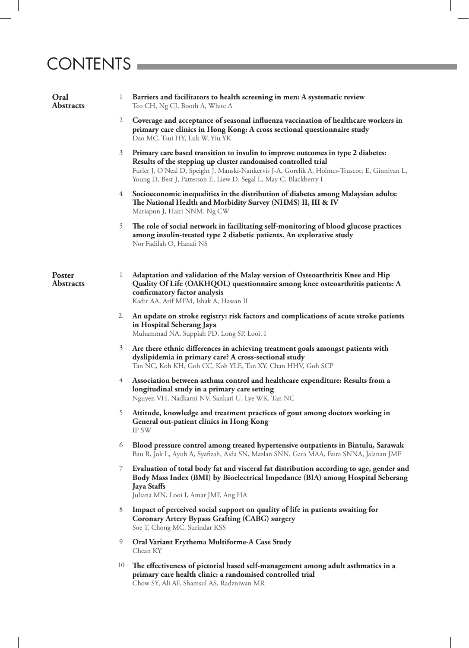# CONTENTS

| Oral<br><b>Abstracts</b>   |                | Barriers and facilitators to health screening in men: A systematic review<br>Teo CH, Ng CJ, Booth A, White A                                                                                                                                                                                                               |
|----------------------------|----------------|----------------------------------------------------------------------------------------------------------------------------------------------------------------------------------------------------------------------------------------------------------------------------------------------------------------------------|
|                            | 2              | Coverage and acceptance of seasonal influenza vaccination of healthcare workers in<br>primary care clinics in Hong Kong: A cross sectional questionnaire study<br>Dao MC, Tsui HY, Luk W, Yiu YK                                                                                                                           |
|                            | 3              | Primary care based transition to insulin to improve outcomes in type 2 diabetes:<br>Results of the stepping up cluster randomised controlled trial<br>Furler J, O'Neal D, Speight J, Manski-Nankervis J-A, Gorelik A, Holmes-Truscott E, Ginnivan L,<br>Young D, Best J, Patterson E, Liew D, Segal L, May C, Blackberry I |
|                            | 4              | Socioeconomic inequalities in the distribution of diabetes among Malaysian adults:<br>The National Health and Morbidity Survey (NHMS) II, III & IV<br>Mariapun J, Hairi NNM, Ng CW                                                                                                                                         |
|                            | 5              | The role of social network in facilitating self-monitoring of blood glucose practices<br>among insulin-treated type 2 diabetic patients. An explorative study<br>Nor Fadilah O, Hanafi NS                                                                                                                                  |
| Poster<br><b>Abstracts</b> | $\mathbf{I}$   | Adaptation and validation of the Malay version of Osteoarthritis Knee and Hip<br>Quality Of Life (OAKHQOL) questionnaire among knee osteoarthritis patients: A<br>confirmatory factor analysis<br>Kadir AA, Arif MFM, Ishak A, Hassan II                                                                                   |
|                            |                | 2. An update on stroke registry: risk factors and complications of acute stroke patients<br>in Hospital Seberang Jaya<br>Muhammad NA, Suppiah PD, Long SP, Looi, I                                                                                                                                                         |
|                            | $\mathfrak{Z}$ | Are there ethnic differences in achieving treatment goals amongst patients with<br>dyslipidemia in primary care? A cross-sectional study<br>Tan NC, Koh KH, Goh CC, Koh YLE, Tan XY, Chan HHV, Goh SCP                                                                                                                     |
|                            | 4              | Association between asthma control and healthcare expenditure: Results from a<br>longitudinal study in a primary care setting<br>Nguyen VH, Nadkarni NV, Sankari U, Lye WK, Tan NC                                                                                                                                         |
|                            | 5              | Attitude, knowledge and treatment practices of gout among doctors working in<br><b>General out-patient clinics in Hong Kong</b><br>IP SW                                                                                                                                                                                   |
|                            | 6              | Blood pressure control among treated hypertensive outpatients in Bintulu, Sarawak<br>Bau R, Jok L, Ayub A, Syafizah, Aida SN, Mazlan SNN, Gara MAA, Faira SNNA, Jalanan JMF                                                                                                                                                |
|                            | 7              | Evaluation of total body fat and visceral fat distribution according to age, gender and<br>Body Mass Index (BMI) by Bioelectrical Impedance (BIA) among Hospital Seberang<br><b>Jaya Staffs</b><br>Juliana MN, Looi I, Amar JMF, Ang HA                                                                                    |
|                            | 8              | Impact of perceived social support on quality of life in patients awaiting for<br><b>Coronary Artery Bypass Grafting (CABG) surgery</b><br>Soe T, Chong MC, Surindar KSS                                                                                                                                                   |
|                            | 9              | Oral Variant Erythema Multiforme-A Case Study<br>Chean KY                                                                                                                                                                                                                                                                  |
|                            | 10             | The effectiveness of pictorial based self-management among adult asthmatics in a<br>primary care health clinic: a randomised controlled trial<br>Chow SY, Ali AF, Shamsul AS, Radzniwan MR                                                                                                                                 |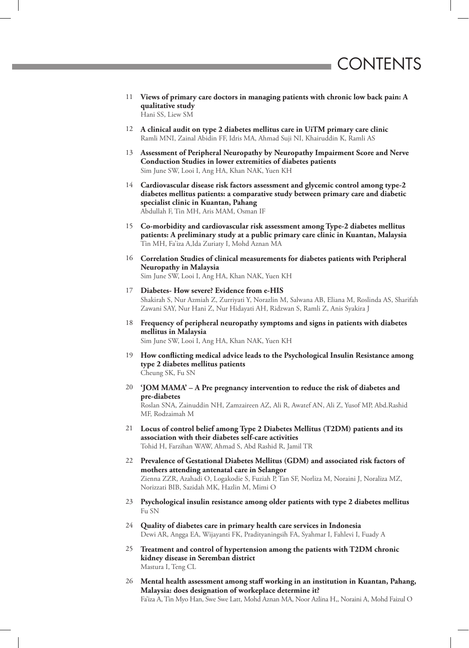- 11 **Views of primary care doctors in managing patients with chronic low back pain: A qualitative study** Hani SS, Liew SM
- 12 **A clinical audit on type 2 diabetes mellitus care in UiTM primary care clinic** Ramli MNI, Zainal Abidin FF, Idris MA, Ahmad Suji NI, Khairuddin K, Ramli AS
- 13 **Assessment of Peripheral Neuropathy by Neuropathy Impairment Score and Nerve Conduction Studies in lower extremities of diabetes patients** Sim June SW, Looi I, Ang HA, Khan NAK, Yuen KH
- 14 **Cardiovascular disease risk factors assessment and glycemic control among type-2 diabetes mellitus patients: a comparative study between primary care and diabetic specialist clinic in Kuantan, Pahang** Abdullah F, Tin MH, Aris MAM, Osman IF
- 15 **Co-morbidity and cardiovascular risk assessment among Type-2 diabetes mellitus patients: A preliminary study at a public primary care clinic in Kuantan, Malaysia** Tin MH, Fa'iza A,Ida Zuriaty I, Mohd Aznan MA
- 16 **Correlation Studies of clinical measurements for diabetes patients with Peripheral Neuropathy in Malaysia** Sim June SW, Looi I, Ang HA, Khan NAK, Yuen KH
- 17 **Diabetes- How severe? Evidence from e-HIS** Shakirah S, Nur Azmiah Z, Zurriyati Y, Norazlin M, Salwana AB, Eliana M, Roslinda AS, Sharifah Zawani SAY, Nur Hani Z, Nur Hidayati AH, Ridzwan S, Ramli Z, Anis Syakira J
- 18 **Frequency of peripheral neuropathy symptoms and signs in patients with diabetes mellitus in Malaysia**
	- Sim June SW, Looi I, Ang HA, Khan NAK, Yuen KH
- 19 **How conflicting medical advice leads to the Psychological Insulin Resistance among type 2 diabetes mellitus patients** Cheung SK, Fu SN
- 20 **'JOM MAMA' A Pre pregnancy intervention to reduce the risk of diabetes and pre-diabetes**

Roslan SNA, Zainuddin NH, Zamzaireen AZ, Ali R, Awatef AN, Ali Z, Yusof MP, Abd.Rashid MF, Rodzaimah M

- 21 **Locus of control belief among Type 2 Diabetes Mellitus (T2DM) patients and its association with their diabetes self-care activities** Tohid H, Farzihan WAW, Ahmad S, Abd Rashid R, Jamil TR
- 22 **Prevalence of Gestational Diabetes Mellitus (GDM) and associated risk factors of mothers attending antenatal care in Selangor** Zienna ZZR, Azahadi O, Logakodie S, Fuziah P, Tan SF, Norliza M, Noraini J, Noraliza MZ, Norizzati BIB, Sazidah MK, Hazlin M, Mimi O
- 23 **Psychological insulin resistance among older patients with type 2 diabetes mellitus** Fu SN
- 24 **Quality of diabetes care in primary health care services in Indonesia** Dewi AR, Angga EA, Wijayanti FK, Pradityaningsih FA, Syahmar I, Fahlevi I, Fuady A
- 25 **Treatment and control of hypertension among the patients with T2DM chronic kidney disease in Seremban district** Mastura I, Teng CL
- 26 **Mental health assessment among staff working in an institution in Kuantan, Pahang, Malaysia: does designation of workeplace determine it?** Fa'iza A, Tin Myo Han, Swe Swe Latt, Mohd Aznan MA, Noor Azlina H,, Noraini A, Mohd Faizul O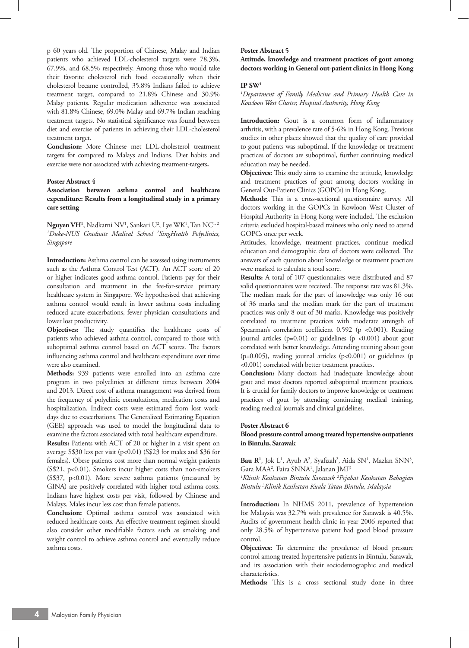p 60 years old. The proportion of Chinese, Malay and Indian patients who achieved LDL-cholesterol targets were 78.3%, 67.9%, and 68.5% respectively. Among those who would take their favorite cholesterol rich food occasionally when their cholesterol became controlled, 35.8% Indians failed to achieve treatment target, compared to 21.8% Chinese and 30.9% Malay patients. Regular medication adherence was associated with 81.8% Chinese, 69.0% Malay and 69.7% Indian reaching treatment targets. No statistical significance was found between diet and exercise of patients in achieving their LDL-cholesterol treatment target.

**Conclusion:** More Chinese met LDL-cholesterol treatment targets for compared to Malays and Indians. Diet habits and exercise were not associated with achieving treatment-targets**.**

#### **Poster Abstract 4**

**Association between asthma control and healthcare expenditure: Results from a longitudinal study in a primary care setting**

 $\mathbf{N}$ guyen VH<sup>1</sup>, Nadkarni NV<sup>1</sup>, Sankari U<sup>2</sup>, Lye WK<sup>1</sup>, Tan NC<sup>1, 2</sup> *1 Duke-NUS Graduate Medical School 2 SingHealth Polyclinics, Singapore*

**Introduction:** Asthma control can be assessed using instruments such as the Asthma Control Test (ACT). An ACT score of 20 or higher indicates good asthma control. Patients pay for their consultation and treatment in the fee-for-service primary healthcare system in Singapore. We hypothesised that achieving asthma control would result in lower asthma costs including reduced acute exacerbations, fewer physician consultations and lower lost productivity.

**Objectives:** The study quantifies the healthcare costs of patients who achieved asthma control, compared to those with suboptimal asthma control based on ACT scores. The factors influencing asthma control and healthcare expenditure over time were also examined.

**Methods:** 939 patients were enrolled into an asthma care program in two polyclinics at different times between 2004 and 2013. Direct cost of asthma management was derived from the frequency of polyclinic consultations, medication costs and hospitalization. Indirect costs were estimated from lost workdays due to exacerbations. The Generalized Estimating Equation (GEE) approach was used to model the longitudinal data to examine the factors associated with total healthcare expenditure.

**Results:** Patients with ACT of 20 or higher in a visit spent on average S\$30 less per visit (p<0.01) (S\$23 for males and \$36 for females). Obese patients cost more than normal weight patients (S\$21, p<0.01). Smokers incur higher costs than non-smokers (S\$37, p<0.01). More severe asthma patients (measured by GINA) are positively correlated with higher total asthma costs. Indians have highest costs per visit, followed by Chinese and Malays. Males incur less cost than female patients.

**Conclusion:** Optimal asthma control was associated with reduced healthcare costs. An effective treatment regimen should also consider other modifiable factors such as smoking and weight control to achieve asthma control and eventually reduce asthma costs.

#### **Poster Abstract 5**

**Attitude, knowledge and treatment practices of gout among doctors working in General out-patient clinics in Hong Kong**

#### **IP SW1**

*1 Department of Family Medicine and Primary Health Care in Kowloon West Cluster, Hospital Authority, Hong Kong*

**Introduction:** Gout is a common form of inflammatory arthritis, with a prevalence rate of 5-6% in Hong Kong. Previous studies in other places showed that the quality of care provided to gout patients was suboptimal. If the knowledge or treatment practices of doctors are suboptimal, further continuing medical education may be needed.

**Objectives:** This study aims to examine the attitude, knowledge and treatment practices of gout among doctors working in General Out-Patient Clinics (GOPCs) in Hong Kong.

**Methods:** This is a cross-sectional questionnaire survey. All doctors working in the GOPCs in Kowloon West Cluster of Hospital Authority in Hong Kong were included. The exclusion criteria excluded hospital-based trainees who only need to attend GOPCs once per week.

Attitudes, knowledge, treatment practices, continue medical education and demographic data of doctors were collected. The answers of each question about knowledge or treatment practices were marked to calculate a total score.

**Results:** A total of 107 questionnaires were distributed and 87 valid questionnaires were received. The response rate was 81.3%. The median mark for the part of knowledge was only 16 out of 36 marks and the median mark for the part of treatment practices was only 8 out of 30 marks. Knowledge was positively correlated to treatment practices with moderate strength of Spearman's correlation coefficient 0.592 (p <0.001). Reading journal articles (p=0.01) or guidelines (p <0.001) about gout correlated with better knowledge. Attending training about gout (p=0.005), reading journal articles (p<0.001) or guidelines (p <0.001) correlated with better treatment practices.

**Conclusion:** Many doctors had inadequate knowledge about gout and most doctors reported suboptimal treatment practices. It is crucial for family doctors to improve knowledge or treatment practices of gout by attending continuing medical training, reading medical journals and clinical guidelines.

#### **Poster Abstract 6**

#### **Blood pressure control among treated hypertensive outpatients in Bintulu, Sarawak**

Bau R<sup>1</sup>, Jok L<sup>1</sup>, Ayub A<sup>2</sup>, Syafizah<sup>2</sup>, Aida SN<sup>1</sup>, Mazlan SNN<sup>3</sup>, Gara MAA<sup>2</sup>, Faira SNNA<sup>1</sup>, Jalanan JMF<sup>1</sup>

*1 Klinik Kesihatan Bintulu Sarawak 2 Pejabat Kesihatan Bahagian Bintulu 3 Klinik Kesihatan Kuala Tatau Bintulu, Malaysia*

**Introduction:** In NHMS 2011, prevalence of hypertension for Malaysia was 32.7% with prevalence for Sarawak is 40.5%. Audits of government health clinic in year 2006 reported that only 28.5% of hypertensive patient had good blood pressure control.

**Objectives:** To determine the prevalence of blood pressure control among treated hypertensive patients in Bintulu, Sarawak, and its association with their sociodemographic and medical characteristics.

**Methods:** This is a cross sectional study done in three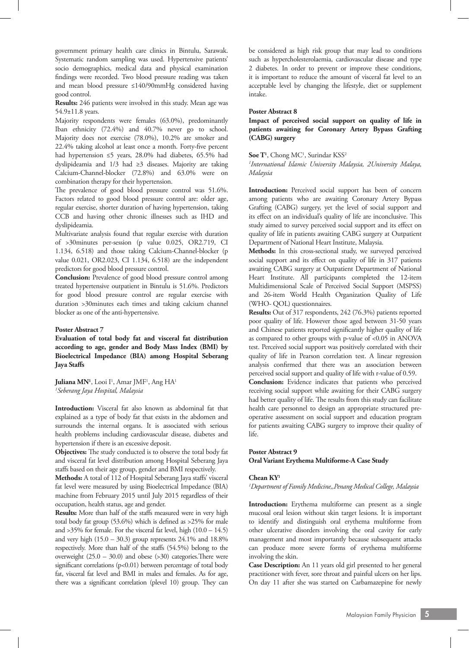government primary health care clinics in Bintulu, Sarawak. Systematic random sampling was used. Hypertensive patients' socio demographics, medical data and physical examination findings were recorded. Two blood pressure reading was taken and mean blood pressure ≤140/90mmHg considered having good control.

**Results:** 246 patients were involved in this study. Mean age was 54.9±11.8 years.

Majority respondents were females (63.0%), predominantly Iban ethnicity (72.4%) and 40.7% never go to school. Majority does not exercise (78.0%), 10.2% are smoker and 22.4% taking alcohol at least once a month. Forty-five percent had hypertension ≤5 years, 28.0% had diabetes, 65.5% had dyslipideamia and 1/3 had ≥3 diseases. Majority are taking Calcium-Channel-blocker (72.8%) and 63.0% were on combination therapy for their hypertension.

The prevalence of good blood pressure control was 51.6%. Factors related to good blood pressure control are: older age, regular exercise, shorter duration of having hypertension, taking CCB and having other chronic illnesses such as IHD and dyslipideamia.

Multivariate analysis found that regular exercise with duration of >30minutes per-session (p value 0.025, OR2.719, CI 1.134, 6.518) and those taking Calcium-Channel-blocker (p value 0.021, OR2.023, CI 1.134, 6.518) are the independent predictors for good blood pressure control.

**Conclusion:** Prevalence of good blood pressure control among treated hypertensive outpatient in Bintulu is 51.6%. Predictors for good blood pressure control are regular exercise with duration >30minutes each times and taking calcium channel blocker as one of the anti-hypertensive.

#### **Poster Abstract 7**

**Evaluation of total body fat and visceral fat distribution according to age, gender and Body Mass Index (BMI) by Bioelectrical Impedance (BIA) among Hospital Seberang Jaya Staffs**

**Juliana MN<sup>1</sup>**, Looi I<sup>1</sup>, Amar JMF<sup>1</sup>, Ang HA<sup>1</sup> *1 Seberang Jaya Hospital, Malaysia*

**Introduction:** Visceral fat also known as abdominal fat that explained as a type of body fat that exists in the abdomen and surrounds the internal organs. It is associated with serious health problems including cardiovascular disease, diabetes and hypertension if there is an excessive deposit.

**Objectives:** The study conducted is to observe the total body fat and visceral fat level distribution among Hospital Seberang Jaya staffs based on their age group, gender and BMI respectively.

**Methods:** A total of 112 of Hospital Seberang Jaya staffs' visceral fat level were measured by using Bioelectrical Impedance (BIA) machine from February 2015 until July 2015 regardless of their occupation, health status, age and gender.

**Results:** More than half of the staffs measured were in very high total body fat group (53.6%) which is defined as >25% for male and  $>35\%$  for female. For the visceral fat level, high  $(10.0 - 14.5)$ and very high  $(15.0 - 30.3)$  group represents  $24.1\%$  and  $18.8\%$ respectively. More than half of the staffs (54.5%) belong to the overweight  $(25.0 - 30.0)$  and obese (>30) categories. There were significant correlations (p<0.01) between percentage of total body fat, visceral fat level and BMI in males and females. As for age, there was a significant correlation (plevel 10) group. They can

be considered as high risk group that may lead to conditions such as hypercholesterolaemia, cardiovascular disease and type 2 diabetes. In order to prevent or improve these conditions, it is important to reduce the amount of visceral fat level to an acceptable level by changing the lifestyle, diet or supplement intake.

#### **Poster Abstract 8**

**Impact of perceived social support on quality of life in patients awaiting for Coronary Artery Bypass Grafting (CABG) surgery**

#### Soe T<sup>1</sup>, Chong MC<sup>1</sup>, Surindar KSS<sup>2</sup>

*1 International Islamic University Malaysia, 2University Malaya, Malaysia*

Introduction: Perceived social support has been of concern among patients who are awaiting Coronary Artery Bypass Grafting (CABG) surgery, yet the level of social support and its effect on an individual's quality of life are inconclusive. This study aimed to survey perceived social support and its effect on quality of life in patients awaiting CABG surgery at Outpatient Department of National Heart Institute, Malaysia.

**Methods:** In this cross-sectional study, we surveyed perceived social support and its effect on quality of life in 317 patients awaiting CABG surgery at Outpatient Department of National Heart Institute. All participants completed the 12-item Multidimensional Scale of Perceived Social Support (MSPSS) and 26-item World Health Organization Quality of Life (WHO- QOL) questionnaires.

**Results:** Out of 317 respondents, 242 (76.3%) patients reported poor quality of life. However those aged between 31-50 years and Chinese patients reported significantly higher quality of life as compared to other groups with p-value of <0.05 in ANOVA test. Perceived social support was positively correlated with their quality of life in Pearson correlation test. A linear regression analysis confirmed that there was an association between perceived social support and quality of life with r-value of 0.59.

**Conclusion:** Evidence indicates that patients who perceived receiving social support while awaiting for their CABG surgery had better quality of life. The results from this study can facilitate health care personnel to design an appropriate structured preoperative assessment on social support and education program for patients awaiting CABG surgery to improve their quality of life.

#### **Poster Abstract 9 Oral Variant Erythema Multiforme-A Case Study**

#### **Chean KY1**

*1 Department of Family Medicine,,Penang Medical College, Malaysia*

**Introduction:** Erythema multiforme can present as a single mucosal oral lesion without skin target lesions. It is important to identify and distinguish oral erythema multiforme from other ulcerative disorders involving the oral cavity for early management and most importantly because subsequent attacks can produce more severe forms of erythema multiforme involving the skin.

**Case Description:** An 11 years old girl presented to her general practitioner with fever, sore throat and painful ulcers on her lips. On day 11 after she was started on Carbamazepine for newly